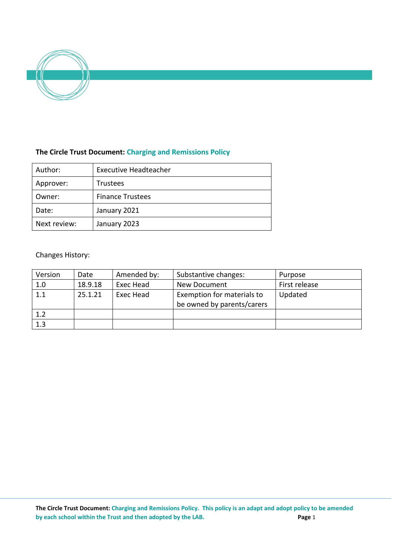

# **The Circle Trust Document: Charging and Remissions Policy**

| Author:      | <b>Executive Headteacher</b> |  |  |
|--------------|------------------------------|--|--|
| Approver:    | <b>Trustees</b>              |  |  |
| Owner:       | <b>Finance Trustees</b>      |  |  |
| Date:        | January 2021                 |  |  |
| Next review: | January 2023                 |  |  |

# Changes History:

| Version | Date    | Amended by: | Substantive changes:                                     | Purpose       |
|---------|---------|-------------|----------------------------------------------------------|---------------|
| 1.0     | 18.9.18 | Exec Head   | New Document                                             | First release |
| 1.1     | 25.1.21 | Exec Head   | Exemption for materials to<br>be owned by parents/carers | Updated       |
| 1.2     |         |             |                                                          |               |
| 1.3     |         |             |                                                          |               |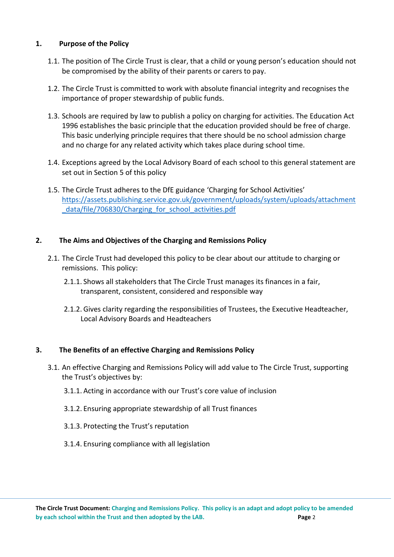### **1. Purpose of the Policy**

- 1.1. The position of The Circle Trust is clear, that a child or young person's education should not be compromised by the ability of their parents or carers to pay.
- 1.2. The Circle Trust is committed to work with absolute financial integrity and recognises the importance of proper stewardship of public funds.
- 1.3. Schools are required by law to publish a policy on charging for activities. The Education Act 1996 establishes the basic principle that the education provided should be free of charge. This basic underlying principle requires that there should be no school admission charge and no charge for any related activity which takes place during school time.
- 1.4. Exceptions agreed by the Local Advisory Board of each school to this general statement are set out in Section 5 of this policy
- 1.5. The Circle Trust adheres to the DfE guidance 'Charging for School Activities' [https://assets.publishing.service.gov.uk/government/uploads/system/uploads/attachment](https://assets.publishing.service.gov.uk/government/uploads/system/uploads/attachment_data/file/706830/Charging_for_school_activities.pdf) data/file/706830/Charging\_for\_school\_activities.pdf

# **2. The Aims and Objectives of the Charging and Remissions Policy**

- 2.1. The Circle Trust had developed this policy to be clear about our attitude to charging or remissions. This policy:
	- 2.1.1. Shows all stakeholders that The Circle Trust manages its finances in a fair, transparent, consistent, considered and responsible way
	- 2.1.2. Gives clarity regarding the responsibilities of Trustees, the Executive Headteacher, Local Advisory Boards and Headteachers

### **3. The Benefits of an effective Charging and Remissions Policy**

- 3.1. An effective Charging and Remissions Policy will add value to The Circle Trust, supporting the Trust's objectives by:
	- 3.1.1. Acting in accordance with our Trust's core value of inclusion
	- 3.1.2. Ensuring appropriate stewardship of all Trust finances
	- 3.1.3. Protecting the Trust's reputation
	- 3.1.4. Ensuring compliance with all legislation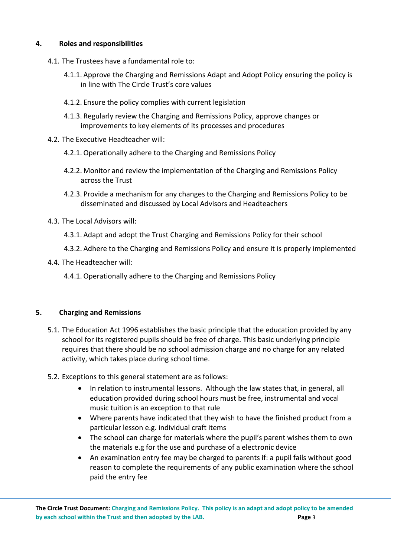### **4. Roles and responsibilities**

- 4.1. The Trustees have a fundamental role to:
	- 4.1.1. Approve the Charging and Remissions Adapt and Adopt Policy ensuring the policy is in line with The Circle Trust's core values
	- 4.1.2. Ensure the policy complies with current legislation
	- 4.1.3. Regularly review the Charging and Remissions Policy, approve changes or improvements to key elements of its processes and procedures
- 4.2. The Executive Headteacher will:
	- 4.2.1. Operationally adhere to the Charging and Remissions Policy
	- 4.2.2. Monitor and review the implementation of the Charging and Remissions Policy across the Trust
	- 4.2.3. Provide a mechanism for any changes to the Charging and Remissions Policy to be disseminated and discussed by Local Advisors and Headteachers
- 4.3. The Local Advisors will:
	- 4.3.1. Adapt and adopt the Trust Charging and Remissions Policy for their school
	- 4.3.2. Adhere to the Charging and Remissions Policy and ensure it is properly implemented
- 4.4. The Headteacher will:
	- 4.4.1. Operationally adhere to the Charging and Remissions Policy

### **5. Charging and Remissions**

- 5.1. The Education Act 1996 establishes the basic principle that the education provided by any school for its registered pupils should be free of charge. This basic underlying principle requires that there should be no school admission charge and no charge for any related activity, which takes place during school time.
- 5.2. Exceptions to this general statement are as follows:
	- In relation to instrumental lessons. Although the law states that, in general, all education provided during school hours must be free, instrumental and vocal music tuition is an exception to that rule
	- Where parents have indicated that they wish to have the finished product from a particular lesson e.g. individual craft items
	- The school can charge for materials where the pupil's parent wishes them to own the materials e.g for the use and purchase of a electronic device
	- An examination entry fee may be charged to parents if: a pupil fails without good reason to complete the requirements of any public examination where the school paid the entry fee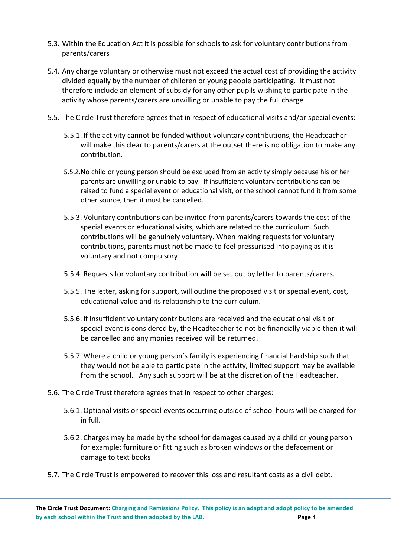- 5.3. Within the Education Act it is possible for schools to ask for voluntary contributions from parents/carers
- 5.4. Any charge voluntary or otherwise must not exceed the actual cost of providing the activity divided equally by the number of children or young people participating. It must not therefore include an element of subsidy for any other pupils wishing to participate in the activity whose parents/carers are unwilling or unable to pay the full charge
- 5.5. The Circle Trust therefore agrees that in respect of educational visits and/or special events:
	- 5.5.1. If the activity cannot be funded without voluntary contributions, the Headteacher will make this clear to parents/carers at the outset there is no obligation to make any contribution.
	- 5.5.2.No child or young person should be excluded from an activity simply because his or her parents are unwilling or unable to pay. If insufficient voluntary contributions can be raised to fund a special event or educational visit, or the school cannot fund it from some other source, then it must be cancelled.
	- 5.5.3. Voluntary contributions can be invited from parents/carers towards the cost of the special events or educational visits, which are related to the curriculum. Such contributions will be genuinely voluntary. When making requests for voluntary contributions, parents must not be made to feel pressurised into paying as it is voluntary and not compulsory
	- 5.5.4. Requests for voluntary contribution will be set out by letter to parents/carers.
	- 5.5.5. The letter, asking for support, will outline the proposed visit or special event, cost, educational value and its relationship to the curriculum.
	- 5.5.6. If insufficient voluntary contributions are received and the educational visit or special event is considered by, the Headteacher to not be financially viable then it will be cancelled and any monies received will be returned.
	- 5.5.7. Where a child or young person's family is experiencing financial hardship such that they would not be able to participate in the activity, limited support may be available from the school. Any such support will be at the discretion of the Headteacher.
- 5.6. The Circle Trust therefore agrees that in respect to other charges:
	- 5.6.1. Optional visits or special events occurring outside of school hours will be charged for in full.
	- 5.6.2. Charges may be made by the school for damages caused by a child or young person for example: furniture or fitting such as broken windows or the defacement or damage to text books
- 5.7. The Circle Trust is empowered to recover this loss and resultant costs as a civil debt.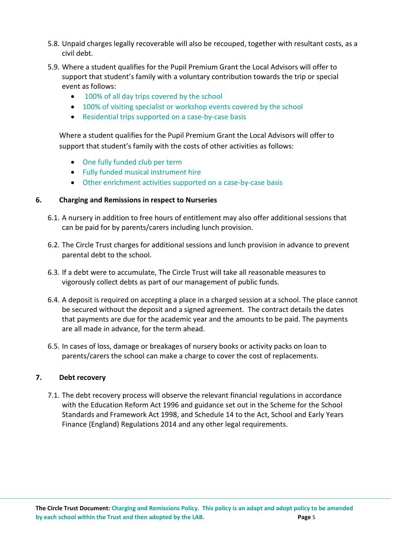- 5.8. Unpaid charges legally recoverable will also be recouped, together with resultant costs, as a civil debt.
- 5.9. Where a student qualifies for the Pupil Premium Grant the Local Advisors will offer to support that student's family with a voluntary contribution towards the trip or special event as follows:
	- 100% of all day trips covered by the school
	- 100% of visiting specialist or workshop events covered by the school
	- Residential trips supported on a case-by-case basis

Where a student qualifies for the Pupil Premium Grant the Local Advisors will offer to support that student's family with the costs of other activities as follows:

- One fully funded club per term
- Fully funded musical instrument hire
- Other enrichment activities supported on a case-by-case basis

### **6. Charging and Remissions in respect to Nurseries**

- 6.1. A nursery in addition to free hours of entitlement may also offer additional sessions that can be paid for by parents/carers including lunch provision.
- 6.2. The Circle Trust charges for additional sessions and lunch provision in advance to prevent parental debt to the school.
- 6.3. If a debt were to accumulate, The Circle Trust will take all reasonable measures to vigorously collect debts as part of our management of public funds.
- 6.4. A deposit is required on accepting a place in a charged session at a school. The place cannot be secured without the deposit and a signed agreement. The contract details the dates that payments are due for the academic year and the amounts to be paid. The payments are all made in advance, for the term ahead.
- 6.5. In cases of loss, damage or breakages of nursery books or activity packs on loan to parents/carers the school can make a charge to cover the cost of replacements.

### **7. Debt recovery**

7.1. The debt recovery process will observe the relevant financial regulations in accordance with the Education Reform Act 1996 and guidance set out in the Scheme for the School Standards and Framework Act 1998, and Schedule 14 to the Act, School and Early Years Finance (England) Regulations 2014 and any other legal requirements.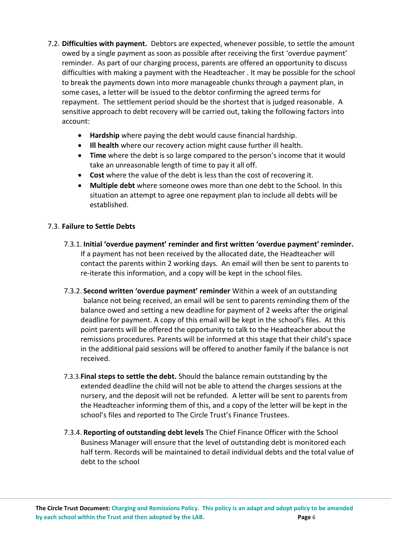- 7.2. **Difficulties with payment.** Debtors are expected, whenever possible, to settle the amount owed by a single payment as soon as possible after receiving the first 'overdue payment' reminder. As part of our charging process, parents are offered an opportunity to discuss difficulties with making a payment with the Headteacher . It may be possible for the school to break the payments down into more manageable chunks through a payment plan, in some cases, a letter will be issued to the debtor confirming the agreed terms for repayment. The settlement period should be the shortest that is judged reasonable. A sensitive approach to debt recovery will be carried out, taking the following factors into account:
	- **Hardship** where paying the debt would cause financial hardship.
	- **Ill health** where our recovery action might cause further ill health.
	- **Time** where the debt is so large compared to the person's income that it would take an unreasonable length of time to pay it all off.
	- **Cost** where the value of the debt is less than the cost of recovering it.
	- **Multiple debt** where someone owes more than one debt to the School. In this situation an attempt to agree one repayment plan to include all debts will be established.

# 7.3. **Failure to Settle Debts**

- 7.3.1. **Initial 'overdue payment' reminder and first written 'overdue payment' reminder.** If a payment has not been received by the allocated date, the Headteacher will contact the parents within 2 working days. An email will then be sent to parents to re-iterate this information, and a copy will be kept in the school files.
- 7.3.2. **Second written 'overdue payment' reminder** Within a week of an outstanding balance not being received, an email will be sent to parents reminding them of the balance owed and setting a new deadline for payment of 2 weeks after the original deadline for payment. A copy of this email will be kept in the school's files. At this point parents will be offered the opportunity to talk to the Headteacher about the remissions procedures. Parents will be informed at this stage that their child's space in the additional paid sessions will be offered to another family if the balance is not received.
- 7.3.3.**Final steps to settle the debt.** Should the balance remain outstanding by the extended deadline the child will not be able to attend the charges sessions at the nursery, and the deposit will not be refunded. A letter will be sent to parents from the Headteacher informing them of this, and a copy of the letter will be kept in the school's files and reported to The Circle Trust's Finance Trustees.
- 7.3.4. **Reporting of outstanding debt levels** The Chief Finance Officer with the School Business Manager will ensure that the level of outstanding debt is monitored each half term. Records will be maintained to detail individual debts and the total value of debt to the school

**The Circle Trust Document: Charging and Remissions Policy. This policy is an adapt and adopt policy to be amended by each school within the Trust and then adopted by the LAB. Page** 6